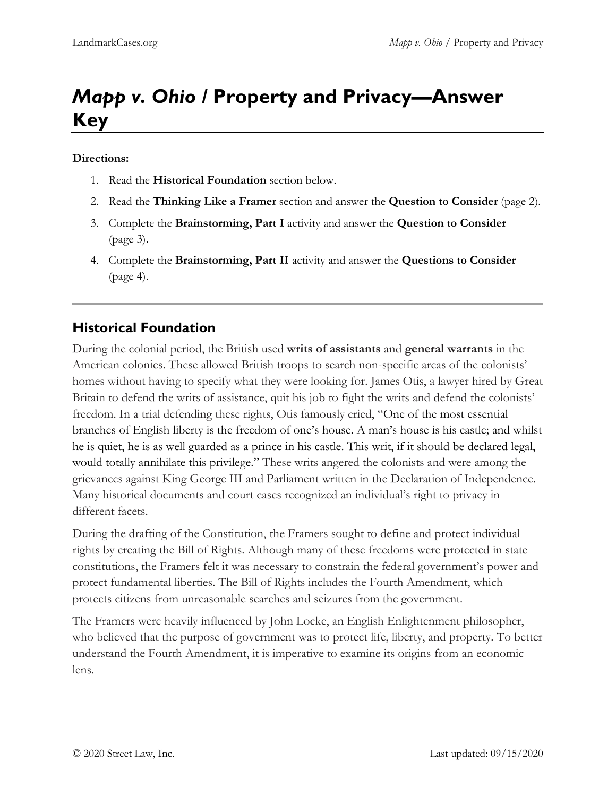# *Mapp v. Ohio /* **Property and Privacy—Answer Key**

#### **Directions:**

- 1. Read the **Historical Foundation** section below.
- 2. Read the **Thinking Like a Framer** section and answer the **Question to Consider** (page 2).
- 3. Complete the **Brainstorming, Part I** activity and answer the **Question to Consider** (page 3).
- 4. Complete the **Brainstorming, Part II** activity and answer the **Questions to Consider** (page 4).

## **Historical Foundation**

During the colonial period, the British used **writs of assistants** and **general warrants** in the American colonies. These allowed British troops to search non-specific areas of the colonists' homes without having to specify what they were looking for. James Otis, a lawyer hired by Great Britain to defend the writs of assistance, quit his job to fight the writs and defend the colonists' freedom. In a trial defending these rights, Otis famously cried, "One of the most essential branches of English liberty is the freedom of one's house. A man's house is his castle; and whilst he is quiet, he is as well guarded as a prince in his castle. This writ, if it should be declared legal, would totally annihilate this privilege." These writs angered the colonists and were among the grievances against King George III and Parliament written in the Declaration of Independence. Many historical documents and court cases recognized an individual's right to privacy in different facets.

During the drafting of the Constitution, the Framers sought to define and protect individual rights by creating the Bill of Rights. Although many of these freedoms were protected in state constitutions, the Framers felt it was necessary to constrain the federal government's power and protect fundamental liberties. The Bill of Rights includes the Fourth Amendment, which protects citizens from unreasonable searches and seizures from the government.

The Framers were heavily influenced by John Locke, an English Enlightenment philosopher, who believed that the purpose of government was to protect life, liberty, and property. To better understand the Fourth Amendment, it is imperative to examine its origins from an economic lens.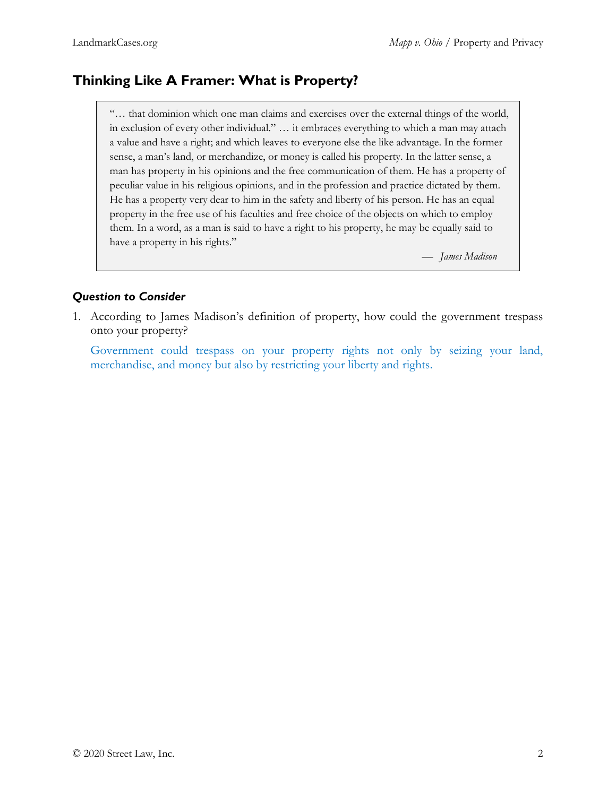## **Thinking Like A Framer: What is Property?**

"… that dominion which one man claims and exercises over the external things of the world, in exclusion of every other individual." … it embraces everything to which a man may attach a value and have a right; and which leaves to everyone else the like advantage. In the former sense, a man's land, or merchandize, or money is called his property. In the latter sense, a man has property in his opinions and the free communication of them. He has a property of peculiar value in his religious opinions, and in the profession and practice dictated by them. He has a property very dear to him in the safety and liberty of his person. He has an equal property in the free use of his faculties and free choice of the objects on which to employ them. In a word, as a man is said to have a right to his property, he may be equally said to have a property in his rights."

— *James Madison*

#### *Question to Consider*

1. According to James Madison's definition of property, how could the government trespass onto your property?

Government could trespass on your property rights not only by seizing your land, merchandise, and money but also by restricting your liberty and rights.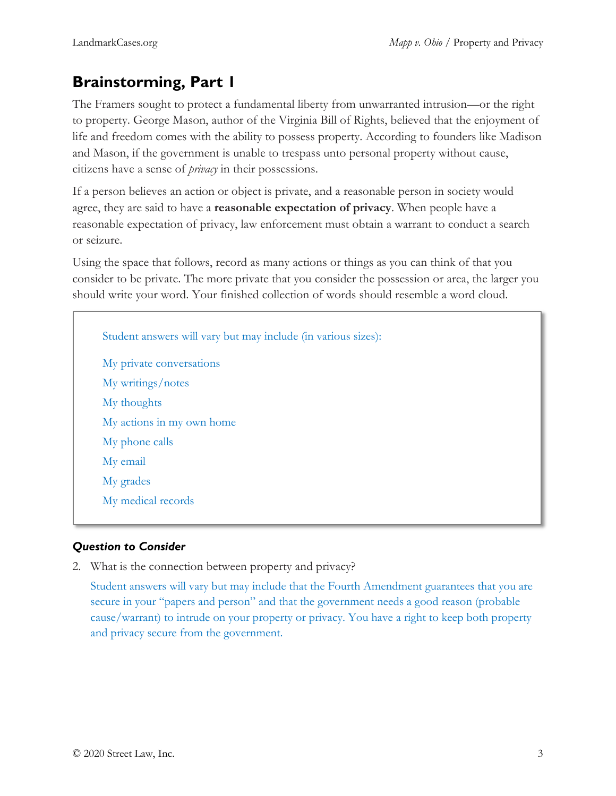## **Brainstorming, Part 1**

The Framers sought to protect a fundamental liberty from unwarranted intrusion—or the right to property. George Mason, author of the Virginia Bill of Rights, believed that the enjoyment of life and freedom comes with the ability to possess property. According to founders like Madison and Mason, if the government is unable to trespass unto personal property without cause, citizens have a sense of *privacy* in their possessions.

If a person believes an action or object is private, and a reasonable person in society would agree, they are said to have a **reasonable expectation of privacy**. When people have a reasonable expectation of privacy, law enforcement must obtain a warrant to conduct a search or seizure.

Using the space that follows, record as many actions or things as you can think of that you consider to be private. The more private that you consider the possession or area, the larger you should write your word. Your finished collection of words should resemble a word cloud.

Student answers will vary but may include (in various sizes): My private conversations My writings/notes My thoughts My actions in my own home My phone calls My email My grades My medical records

### *Question to Consider*

2. What is the connection between property and privacy?

Student answers will vary but may include that the Fourth Amendment guarantees that you are secure in your "papers and person" and that the government needs a good reason (probable cause/warrant) to intrude on your property or privacy. You have a right to keep both property and privacy secure from the government.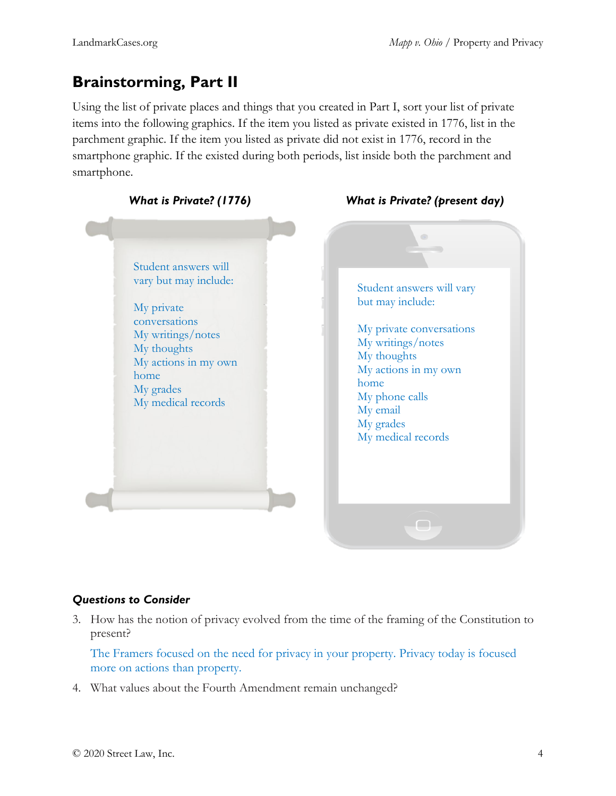## **Brainstorming, Part II**

Using the list of private places and things that you created in Part I, sort your list of private items into the following graphics. If the item you listed as private existed in 1776, list in the parchment graphic. If the item you listed as private did not exist in 1776, record in the smartphone graphic. If the existed during both periods, list inside both the parchment and smartphone.



#### *Questions to Consider*

3. How has the notion of privacy evolved from the time of the framing of the Constitution to present?

The Framers focused on the need for privacy in your property. Privacy today is focused more on actions than property.

4. What values about the Fourth Amendment remain unchanged?